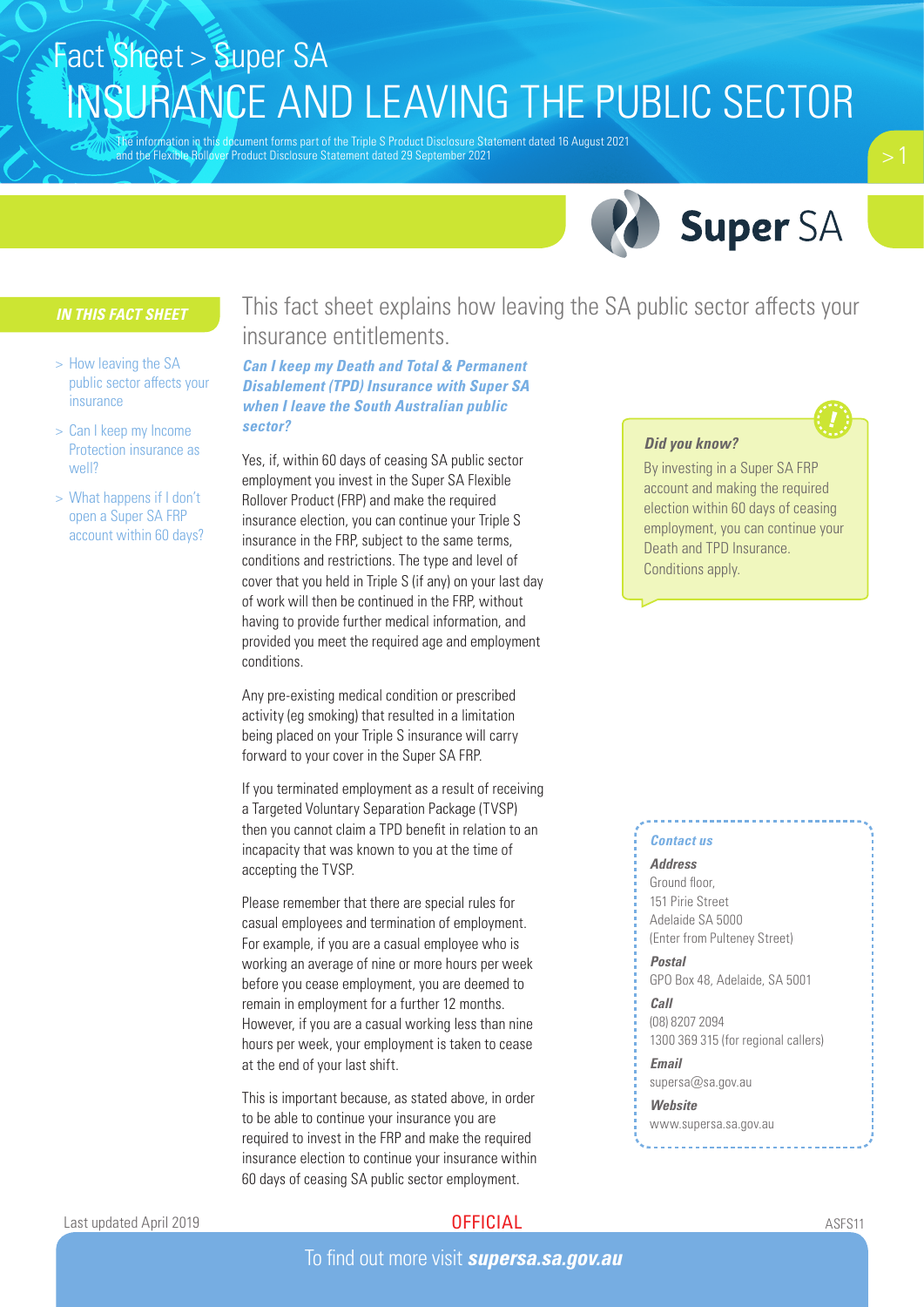# INSURANCE AND LEAVING THE PUBLIC SECTOR Fact Sheet > Super SA

The information in this document forms part of the Triple S Product Disclosure Statement dated 16 August 2021 and the Flexible Rollover Product Disclosure Statement dated 29 September 2021





## *IN THIS FACT SHEET*

- > How leaving the SA public sector affects your insurance
- > Can I keep my Income Protection insurance as well?
- > What happens if I don't open a Super SA FRP account within 60 days?

This fact sheet explains how leaving the SA public sector affects your insurance entitlements.

*Can I keep my Death and Total & Permanent Disablement (TPD) Insurance with Super SA when I leave the South Australian public sector?*

Yes, if, within 60 days of ceasing SA public sector employment you invest in the Super SA Flexible Rollover Product (FRP) and make the required insurance election, you can continue your Triple S insurance in the FRP, subject to the same terms, conditions and restrictions. The type and level of cover that you held in Triple S (if any) on your last day of work will then be continued in the FRP, without having to provide further medical information, and provided you meet the required age and employment conditions.

Any pre-existing medical condition or prescribed activity (eg smoking) that resulted in a limitation being placed on your Triple S insurance will carry forward to your cover in the Super SA FRP.

If you terminated employment as a result of receiving a Targeted Voluntary Separation Package (TVSP) then you cannot claim a TPD benefit in relation to an incapacity that was known to you at the time of accepting the TVSP.

Please remember that there are special rules for casual employees and termination of employment. For example, if you are a casual employee who is working an average of nine or more hours per week before you cease employment, you are deemed to remain in employment for a further 12 months. However, if you are a casual working less than nine hours per week, your employment is taken to cease at the end of your last shift.

This is important because, as stated above, in order to be able to continue your insurance you are required to invest in the FRP and make the required insurance election to continue your insurance within 60 days of ceasing SA public sector employment.

## *Did you know?*

By investing in a Super SA FRP account and making the required election within 60 days of ceasing employment, you can continue your Death and TPD Insurance. Conditions apply.

## *Contact us*

*Address* Ground floor, 151 Pirie Street Adelaide SA 5000 (Enter from Pulteney Street)

*Postal*  GPO Box 48, Adelaide, SA 5001

*Call*  (08) 8207 2094 1300 369 315 (for regional callers)

*Email* supersa@sa.gov.au *Website*

www.supersa.sa.gov.au

## Last updated April 2019 **OFFICIAL CONSERVERSITY ASSESSES**